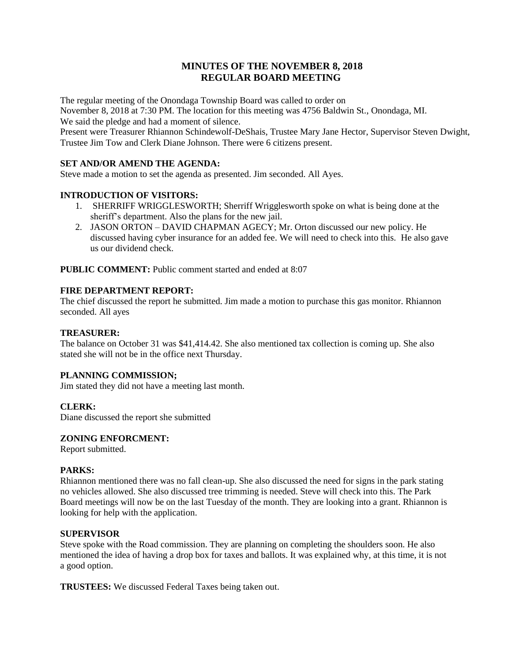# **MINUTES OF THE NOVEMBER 8, 2018 REGULAR BOARD MEETING**

The regular meeting of the Onondaga Township Board was called to order on November 8, 2018 at 7:30 PM. The location for this meeting was 4756 Baldwin St., Onondaga, MI. We said the pledge and had a moment of silence.

Present were Treasurer Rhiannon Schindewolf-DeShais, Trustee Mary Jane Hector, Supervisor Steven Dwight, Trustee Jim Tow and Clerk Diane Johnson. There were 6 citizens present.

# **SET AND/OR AMEND THE AGENDA:**

Steve made a motion to set the agenda as presented. Jim seconded. All Ayes.

# **INTRODUCTION OF VISITORS:**

- 1. SHERRIFF WRIGGLESWORTH; Sherriff Wrigglesworth spoke on what is being done at the sheriff's department. Also the plans for the new jail.
- 2. JASON ORTON DAVID CHAPMAN AGECY; Mr. Orton discussed our new policy. He discussed having cyber insurance for an added fee. We will need to check into this. He also gave us our dividend check.

**PUBLIC COMMENT:** Public comment started and ended at 8:07

#### **FIRE DEPARTMENT REPORT:**

The chief discussed the report he submitted. Jim made a motion to purchase this gas monitor. Rhiannon seconded. All ayes

#### **TREASURER:**

The balance on October 31 was \$41,414.42. She also mentioned tax collection is coming up. She also stated she will not be in the office next Thursday.

# **PLANNING COMMISSION;**

Jim stated they did not have a meeting last month.

# **CLERK:**

Diane discussed the report she submitted

#### **ZONING ENFORCMENT:**

Report submitted.

#### **PARKS:**

Rhiannon mentioned there was no fall clean-up. She also discussed the need for signs in the park stating no vehicles allowed. She also discussed tree trimming is needed. Steve will check into this. The Park Board meetings will now be on the last Tuesday of the month. They are looking into a grant. Rhiannon is looking for help with the application.

#### **SUPERVISOR**

Steve spoke with the Road commission. They are planning on completing the shoulders soon. He also mentioned the idea of having a drop box for taxes and ballots. It was explained why, at this time, it is not a good option.

**TRUSTEES:** We discussed Federal Taxes being taken out.